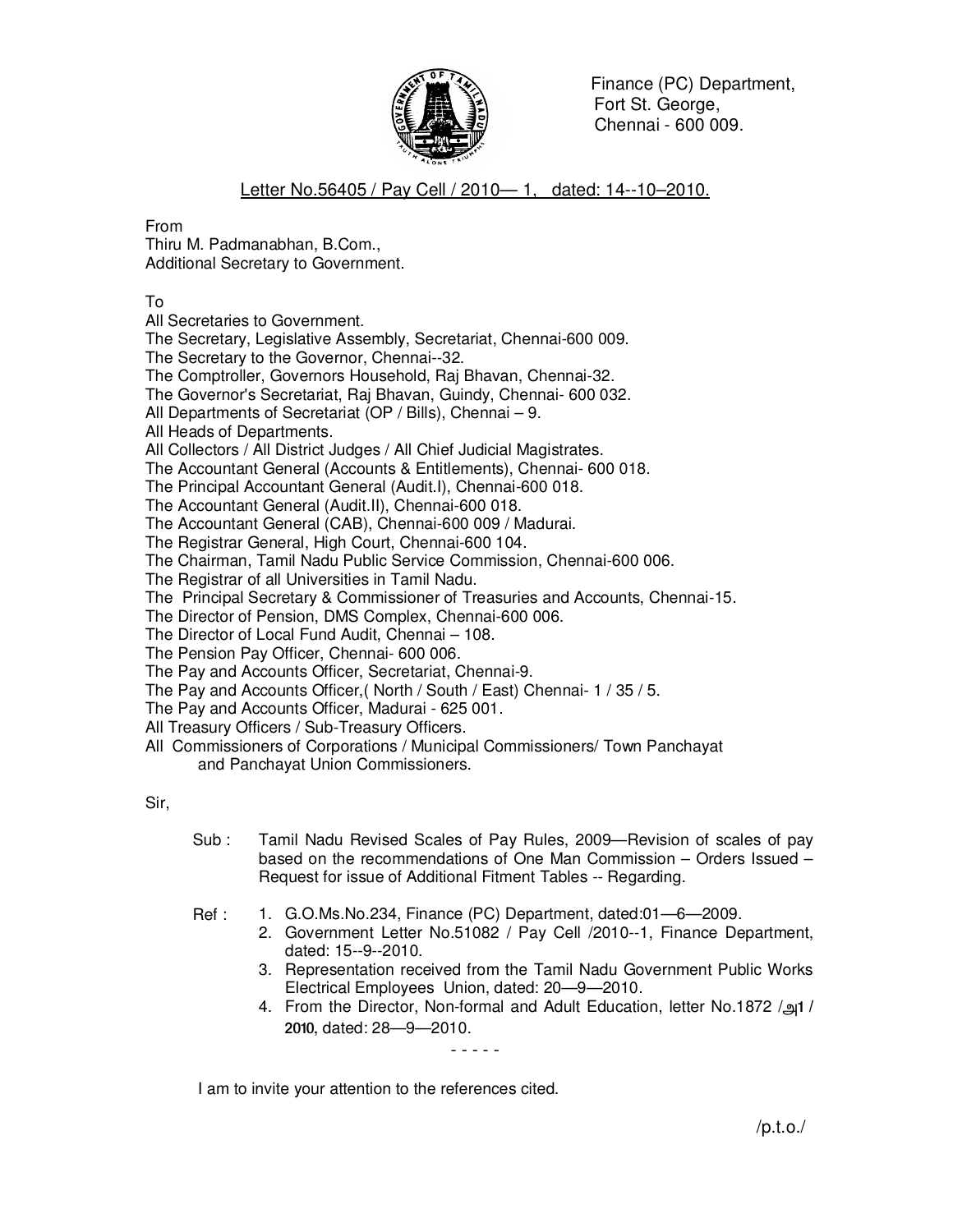

 Finance (PC) Department, Fort St. George, Chennai - 600 009.

Letter No.56405 / Pay Cell / 2010— 1, dated: 14--10–2010.

From

Thiru M. Padmanabhan, B.Com., Additional Secretary to Government.

To

All Secretaries to Government.

The Secretary, Legislative Assembly, Secretariat, Chennai-600 009.

The Secretary to the Governor, Chennai--32.

The Comptroller, Governors Household, Raj Bhavan, Chennai-32.

The Governor's Secretariat, Raj Bhavan, Guindy, Chennai- 600 032.

All Departments of Secretariat (OP / Bills), Chennai – 9.

All Heads of Departments.

All Collectors / All District Judges / All Chief Judicial Magistrates.

The Accountant General (Accounts & Entitlements), Chennai- 600 018.

The Principal Accountant General (Audit.I), Chennai-600 018.

The Accountant General (Audit.II), Chennai-600 018.

The Accountant General (CAB), Chennai-600 009 / Madurai.

The Registrar General, High Court, Chennai-600 104.

The Chairman, Tamil Nadu Public Service Commission, Chennai-600 006.

The Registrar of all Universities in Tamil Nadu.

The Principal Secretary & Commissioner of Treasuries and Accounts, Chennai-15.

The Director of Pension, DMS Complex, Chennai-600 006.

The Director of Local Fund Audit, Chennai – 108.

The Pension Pay Officer, Chennai- 600 006.

The Pay and Accounts Officer, Secretariat, Chennai-9.

The Pay and Accounts Officer,( North / South / East) Chennai- 1 / 35 / 5.

The Pay and Accounts Officer, Madurai - 625 001.

All Treasury Officers / Sub-Treasury Officers.

All Commissioners of Corporations / Municipal Commissioners/ Town Panchayat and Panchayat Union Commissioners.

Sir,

Sub : Tamil Nadu Revised Scales of Pay Rules, 2009—Revision of scales of pay based on the recommendations of One Man Commission – Orders Issued – Request for issue of Additional Fitment Tables -- Regarding.

Ref : 1. G.O.Ms.No.234, Finance (PC) Department, dated:01—6—2009.

- - - - -

- 2. Government Letter No.51082 / Pay Cell /2010--1, Finance Department, dated: 15--9--2010.
- 3. Representation received from the Tamil Nadu Government Public Works Electrical Employees Union, dated: 20—9—2010.
- 4. From the Director, Non-formal and Adult Education, letter No.1872 /m1 / 2010, dated: 28—9—2010.

I am to invite your attention to the references cited.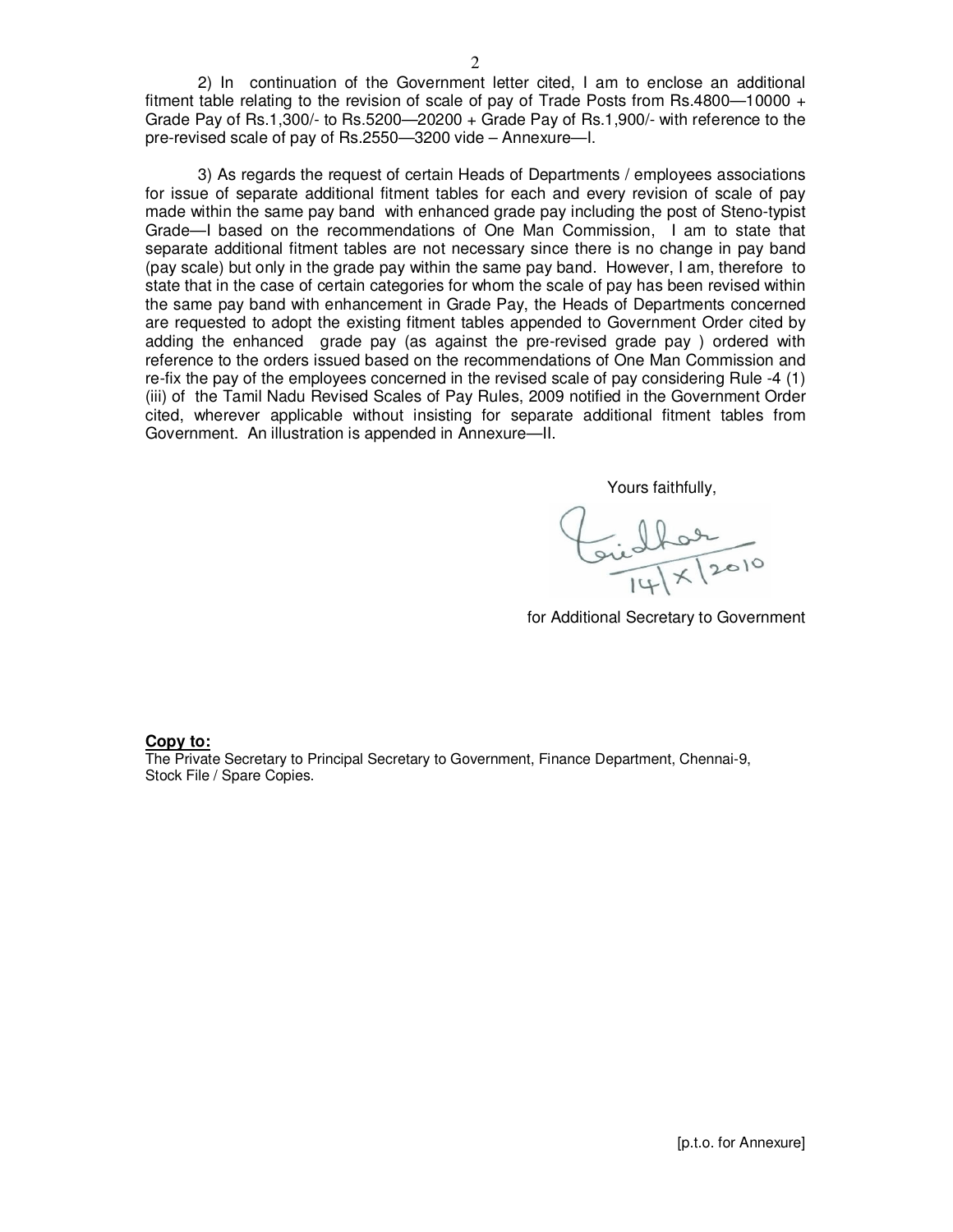2) In continuation of the Government letter cited, I am to enclose an additional fitment table relating to the revision of scale of pay of Trade Posts from Rs.4800—10000 + Grade Pay of Rs.1,300/- to Rs.5200—20200 + Grade Pay of Rs.1,900/- with reference to the pre-revised scale of pay of Rs.2550—3200 vide – Annexure—I.

3) As regards the request of certain Heads of Departments / employees associations for issue of separate additional fitment tables for each and every revision of scale of pay made within the same pay band with enhanced grade pay including the post of Steno-typist Grade—I based on the recommendations of One Man Commission, I am to state that separate additional fitment tables are not necessary since there is no change in pay band (pay scale) but only in the grade pay within the same pay band. However, I am, therefore to state that in the case of certain categories for whom the scale of pay has been revised within the same pay band with enhancement in Grade Pay, the Heads of Departments concerned are requested to adopt the existing fitment tables appended to Government Order cited by adding the enhanced grade pay (as against the pre-revised grade pay ) ordered with reference to the orders issued based on the recommendations of One Man Commission and re-fix the pay of the employees concerned in the revised scale of pay considering Rule -4 (1) (iii) of the Tamil Nadu Revised Scales of Pay Rules, 2009 notified in the Government Order cited, wherever applicable without insisting for separate additional fitment tables from Government. An illustration is appended in Annexure—II.

Yours faithfully,

Girlbor<br>11/x/2010

for Additional Secretary to Government

## **Copy to:**

The Private Secretary to Principal Secretary to Government, Finance Department, Chennai-9, Stock File / Spare Copies.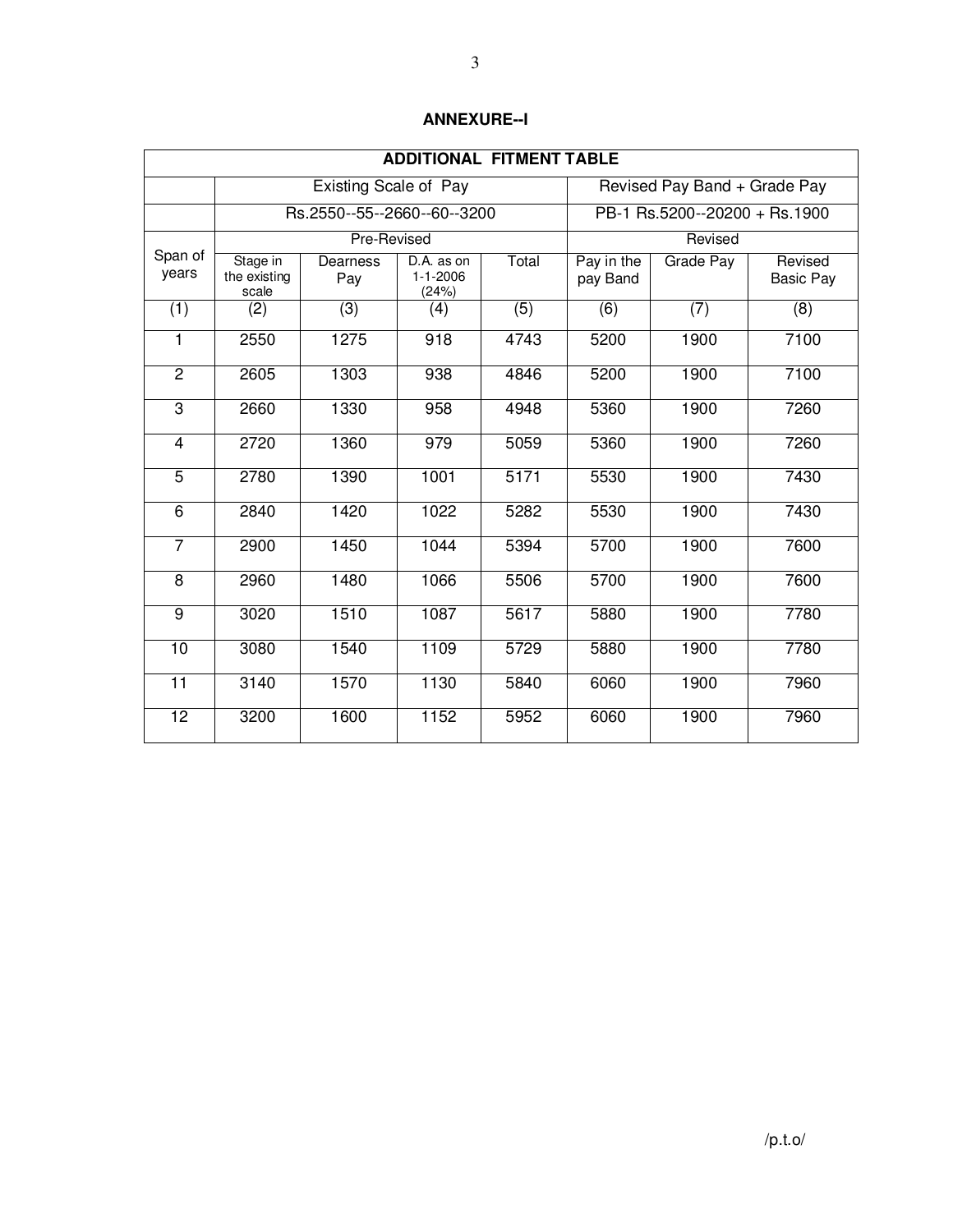| <b>ADDITIONAL FITMENT TABLE</b> |                                   |                              |                                       |                  |                               |                              |                             |  |
|---------------------------------|-----------------------------------|------------------------------|---------------------------------------|------------------|-------------------------------|------------------------------|-----------------------------|--|
|                                 |                                   | <b>Existing Scale of Pay</b> |                                       |                  |                               | Revised Pay Band + Grade Pay |                             |  |
|                                 | Rs.2550--55--2660--60--3200       |                              |                                       |                  | PB-1 Rs.5200--20200 + Rs.1900 |                              |                             |  |
| Span of<br>years                | Pre-Revised                       |                              |                                       |                  | Revised                       |                              |                             |  |
|                                 | Stage in<br>the existing<br>scale | Dearness<br>Pay              | D.A. as on<br>$1 - 1 - 2006$<br>(24%) | Total            | Pay in the<br>pay Band        | <b>Grade Pay</b>             | Revised<br><b>Basic Pay</b> |  |
| $\overline{(1)}$                | (2)                               | $\overline{(3)}$             | (4)                                   | $\overline{(5)}$ | (6)                           | $\overline{(7)}$             | (8)                         |  |
| 1                               | 2550                              | 1275                         | 918                                   | 4743             | 5200                          | 1900                         | 7100                        |  |
| $\overline{2}$                  | 2605                              | 1303                         | 938                                   | 4846             | 5200                          | 1900                         | 7100                        |  |
| 3                               | 2660                              | 1330                         | 958                                   | 4948             | 5360                          | 1900                         | 7260                        |  |
| $\overline{\mathbf{4}}$         | 2720                              | 1360                         | 979                                   | 5059             | 5360                          | 1900                         | 7260                        |  |
| $\overline{5}$                  | 2780                              | 1390                         | 1001                                  | 5171             | 5530                          | 1900                         | 7430                        |  |
| 6                               | 2840                              | 1420                         | 1022                                  | 5282             | 5530                          | 1900                         | 7430                        |  |
| $\overline{7}$                  | 2900                              | 1450                         | 1044                                  | 5394             | 5700                          | 1900                         | 7600                        |  |
| $\overline{8}$                  | 2960                              | 1480                         | 1066                                  | 5506             | 5700                          | 1900                         | 7600                        |  |
| 9                               | 3020                              | 1510                         | 1087                                  | 5617             | 5880                          | 1900                         | 7780                        |  |
| $\overline{10}$                 | 3080                              | 1540                         | 1109                                  | 5729             | 5880                          | 1900                         | 7780                        |  |
| $\overline{11}$                 | 3140                              | 1570                         | 1130                                  | 5840             | 6060                          | 1900                         | 7960                        |  |
| $\overline{12}$                 | 3200                              | 1600                         | 1152                                  | 5952             | 6060                          | 1900                         | 7960                        |  |

## **ANNEXURE--I**